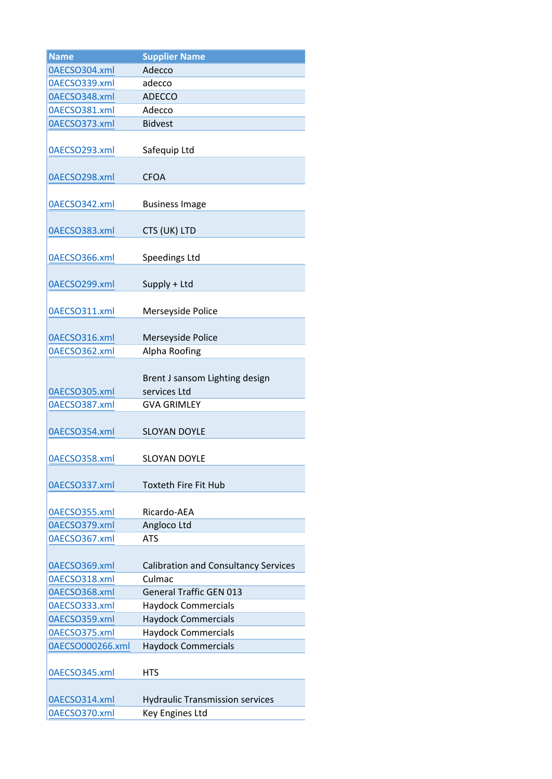| <b>Name</b>      | <b>Supplier Name</b>                        |
|------------------|---------------------------------------------|
| 0AECSO304.xml    | Adecco                                      |
| 0AECSO339.xml    | adecco                                      |
| 0AECSO348.xml    | <b>ADECCO</b>                               |
| 0AECSO381.xml    | Adecco                                      |
| 0AECSO373.xml    | <b>Bidvest</b>                              |
|                  |                                             |
| 0AECSO293.xml    | Safequip Ltd                                |
|                  |                                             |
| 0AECSO298.xml    | <b>CFOA</b>                                 |
|                  |                                             |
| 0AECSO342.xml    | <b>Business Image</b>                       |
|                  |                                             |
| 0AECSO383.xml    | CTS (UK) LTD                                |
|                  |                                             |
| 0AECSO366.xml    | Speedings Ltd                               |
|                  |                                             |
| 0AECSO299.xml    | Supply + Ltd                                |
|                  |                                             |
| 0AECSO311.xml    | Merseyside Police                           |
|                  |                                             |
| 0AECSO316.xml    | Merseyside Police                           |
| 0AECSO362.xml    | Alpha Roofing                               |
|                  |                                             |
|                  | Brent J sansom Lighting design              |
| 0AECSO305.xml    | services Ltd                                |
| 0AECSO387.xml    | <b>GVA GRIMLEY</b>                          |
|                  |                                             |
| 0AECSO354.xml    | <b>SLOYAN DOYLE</b>                         |
|                  |                                             |
| 0AECSO358.xml    | <b>SLOYAN DOYLE</b>                         |
|                  |                                             |
| 0AECSO337.xml    | Toxteth Fire Fit Hub                        |
|                  |                                             |
| 0AECSO355.xml    | Ricardo-AEA                                 |
| 0AECSO379.xml    | Angloco Ltd                                 |
| 0AECSO367.xml    | <b>ATS</b>                                  |
|                  |                                             |
| 0AECSO369.xml    | <b>Calibration and Consultancy Services</b> |
| 0AECSO318.xml    | Culmac                                      |
| 0AECSO368.xml    | <b>General Traffic GEN 013</b>              |
| 0AECSO333.xml    | <b>Haydock Commercials</b>                  |
| 0AECSO359.xml    | <b>Haydock Commercials</b>                  |
| 0AECSO375.xml    | <b>Haydock Commercials</b>                  |
| 0AECSO000266.xml | <b>Haydock Commercials</b>                  |
|                  |                                             |
| 0AECSO345.xml    | HTS                                         |
|                  |                                             |
| 0AECSO314.xml    | <b>Hydraulic Transmission services</b>      |
| 0AECSO370.xml    | Key Engines Ltd                             |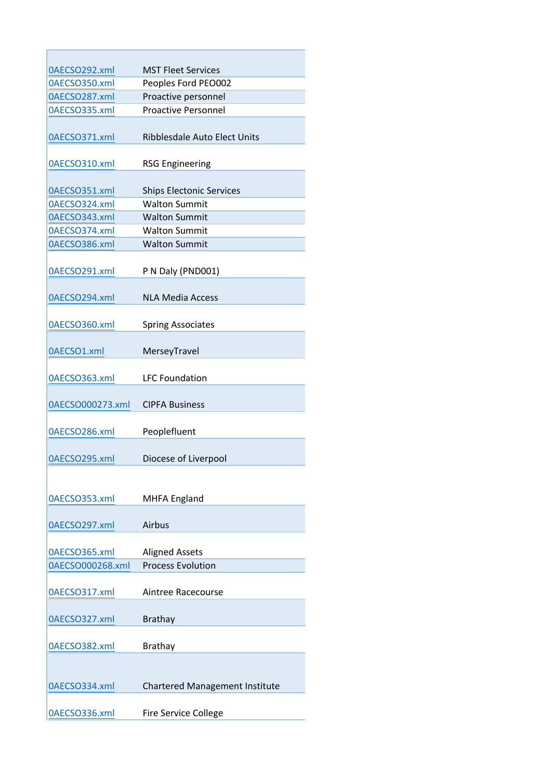| 0AECSO292.xml    | <b>MST Fleet Services</b>             |
|------------------|---------------------------------------|
| 0AECSO350.xml    | Peoples Ford PEO002                   |
| 0AECSO287.xml    | Proactive personnel                   |
| 0AECSO335.xml    | <b>Proactive Personnel</b>            |
| 0AECSO371.xml    | Ribblesdale Auto Elect Units          |
| 0AECSO310.xml    | <b>RSG Engineering</b>                |
| 0AECSO351.xml    | <b>Ships Electonic Services</b>       |
| 0AECSO324.xml    | <b>Walton Summit</b>                  |
| 0AECSO343.xml    | <b>Walton Summit</b>                  |
| 0AECSO374.xml    | <b>Walton Summit</b>                  |
| 0AECSO386.xml    | <b>Walton Summit</b>                  |
| 0AECSO291.xml    | P N Daly (PND001)                     |
| 0AECSO294.xml    | <b>NLA Media Access</b>               |
| 0AECSO360.xml    | <b>Spring Associates</b>              |
| 0AECSO1.xml      | MerseyTravel                          |
| 0AECSO363.xml    | <b>LFC Foundation</b>                 |
| 0AECSO000273.xml | <b>CIPFA Business</b>                 |
| 0AECSO286.xml    | Peoplefluent                          |
| 0AECSO295.xml    | Diocese of Liverpool                  |
| 0AECSO353.xml    | <b>MHFA England</b>                   |
| 0AECSO297.xml    | Airbus                                |
| 0AECSO365.xml    | <b>Aligned Assets</b>                 |
| 0AECSO000268.xml | <b>Process Evolution</b>              |
| 0AECSO317.xml    | Aintree Racecourse                    |
| 0AECSO327.xml    | <b>Brathay</b>                        |
| 0AECSO382.xml    | <b>Brathay</b>                        |
|                  |                                       |
| 0AECSO334.xml    | <b>Chartered Management Institute</b> |
| 0AECSO336.xml    | <b>Fire Service College</b>           |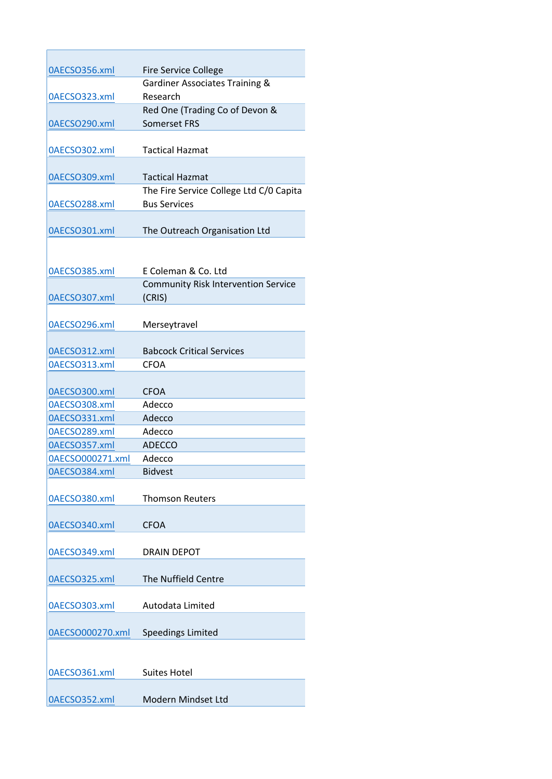| 0AECSO356.xml    | <b>Fire Service College</b>                |
|------------------|--------------------------------------------|
|                  | Gardiner Associates Training &             |
| 0AECSO323.xml    | Research                                   |
|                  | Red One (Trading Co of Devon &             |
| 0AECSO290.xml    | <b>Somerset FRS</b>                        |
|                  |                                            |
| 0AECSO302.xml    | <b>Tactical Hazmat</b>                     |
|                  |                                            |
| 0AECSO309.xml    | <b>Tactical Hazmat</b>                     |
|                  | The Fire Service College Ltd C/0 Capita    |
| 0AECSO288.xml    | <b>Bus Services</b>                        |
|                  |                                            |
| 0AECSO301.xml    | The Outreach Organisation Ltd              |
|                  |                                            |
|                  |                                            |
| 0AECSO385.xml    | E Coleman & Co. Ltd                        |
|                  | <b>Community Risk Intervention Service</b> |
| 0AECSO307.xml    | (CRIS)                                     |
|                  |                                            |
| 0AECSO296.xml    | Merseytravel                               |
|                  |                                            |
| 0AECSO312.xml    | <b>Babcock Critical Services</b>           |
| 0AECSO313.xml    | <b>CFOA</b>                                |
|                  |                                            |
| 0AECSO300.xml    | <b>CFOA</b>                                |
| 0AECSO308.xml    | Adecco                                     |
| 0AECSO331.xml    | Adecco                                     |
| 0AECSO289.xml    | Adecco                                     |
| 0AECSO357.xml    | <b>ADECCO</b>                              |
| 0AECSO000271.xml | Adecco                                     |
| 0AECSO384.xml    | <b>Bidvest</b>                             |
|                  |                                            |
| 0AECSO380.xml    | <b>Thomson Reuters</b>                     |
|                  |                                            |
| 0AECSO340.xml    | <b>CFOA</b>                                |
|                  |                                            |
| 0AECSO349.xml    | <b>DRAIN DEPOT</b>                         |
|                  |                                            |
| 0AECSO325.xml    | The Nuffield Centre                        |
|                  |                                            |
| 0AECSO303.xml    | Autodata Limited                           |
|                  |                                            |
| 0AECSO000270.xml | <b>Speedings Limited</b>                   |
|                  |                                            |
|                  |                                            |
| 0AECSO361.xml    | <b>Suites Hotel</b>                        |
|                  |                                            |
| 0AECSO352.xml    | Modern Mindset Ltd                         |
|                  |                                            |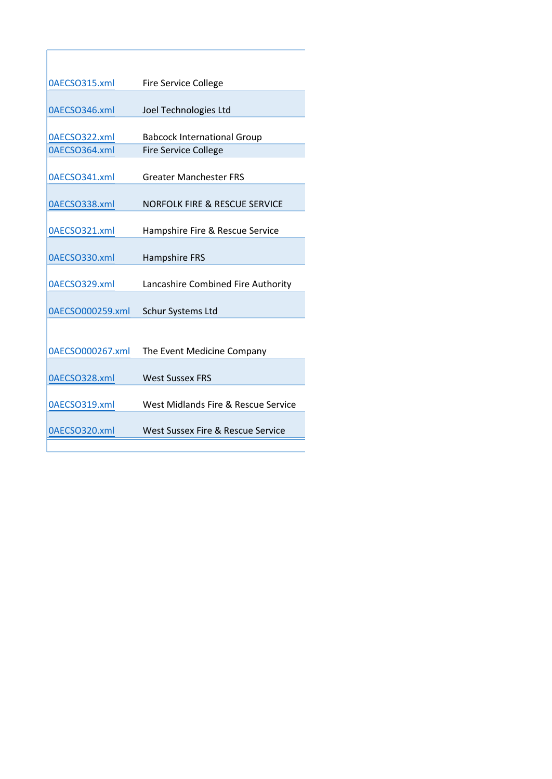| 0AECSO315.xml    | <b>Fire Service College</b>         |
|------------------|-------------------------------------|
|                  |                                     |
| 0AECSO346.xml    | Joel Technologies Ltd               |
|                  |                                     |
| 0AECSO322.xml    | <b>Babcock International Group</b>  |
| 0AECSO364.xml    | <b>Fire Service College</b>         |
| 0AECSO341.xml    | <b>Greater Manchester FRS</b>       |
|                  |                                     |
| 0AECSO338.xml    | NORFOLK FIRE & RESCUE SERVICE       |
|                  |                                     |
| 0AECSO321.xml    | Hampshire Fire & Rescue Service     |
|                  |                                     |
| 0AECSO330.xml    | Hampshire FRS                       |
|                  |                                     |
| 0AECSO329.xml    | Lancashire Combined Fire Authority  |
| 0AECSO000259.xml | Schur Systems Ltd                   |
|                  |                                     |
|                  |                                     |
| 0AECSO000267.xml | The Event Medicine Company          |
|                  |                                     |
| 0AECSO328.xml    | West Sussex FRS                     |
|                  |                                     |
| 0AECSO319.xml    | West Midlands Fire & Rescue Service |
|                  |                                     |
| 0AECSO320.xml    | West Sussex Fire & Rescue Service   |
|                  |                                     |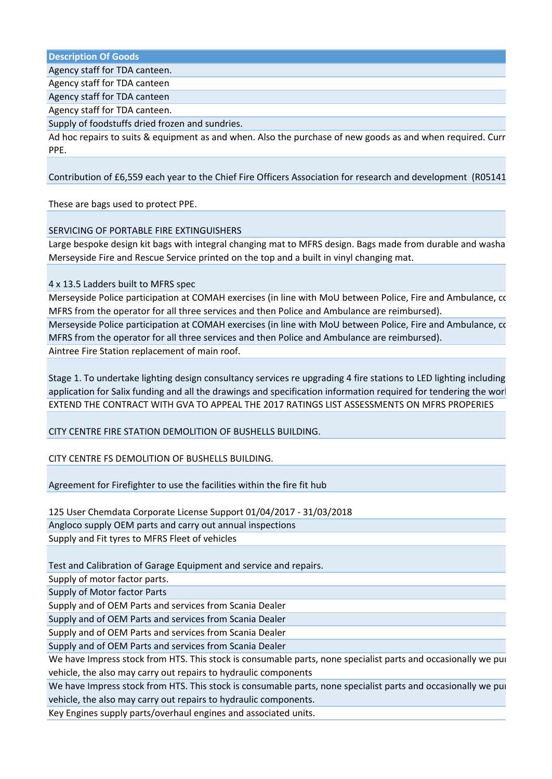**Description Of Goods**

Agency staff for TDA canteen.

Agency staff for TDA canteen

Agency staff for TDA canteen

Agency staff for TDA canteen.

Supply of foodstuffs dried frozen and sundries.

Ad hoc repairs to suits & equipment as and when. Also the purchase of new goods as and when required. Current order is 5 sets of the purchase of new goods as and when required. Current order is 5 sets of  $\alpha$ PPE.

Contribution of £6,559 each year to the Chief Fire Officers Association for research and development (R05141

These are bags used to protect PPE.

## SERVICING OF PORTABLE FIRE EXTINGUISHERS

Large bespoke design kit bags with integral changing mat to MFRS design. Bags made from durable and washa Merseyside Fire and Rescue Service printed on the top and a built in vinyl changing mat.

4 x 13.5 Ladders built to MFRS spec

Merseyside Police participation at COMAH exercises (in line with MoU between Police, Fire and Ambulance, costs MFRS from the operator for all three services and then Police and Ambulance are reimbursed).

Merseyside Police participation at COMAH exercises (in line with MoU between Police, Fire and Ambulance, costs MFRS from the operator for all three services and then Police and Ambulance are reimbursed). Aintree Fire Station replacement of main roof.

Stage 1. To undertake lighting design consultancy services re upgrading 4 fire stations to LED lighting including application for Salix funding and all the drawings and specification information required for tendering the worl EXTEND THE CONTRACT WITH GVA TO APPEAL THE 2017 RATINGS LIST ASSESSMENTS ON MFRS PROPERIES

CITY CENTRE FIRE STATION DEMOLITION OF BUSHELLS BUILDING.

CITY CENTRE FS DEMOLITION OF BUSHELLS BUILDING.

Agreement for Firefighter to use the facilities within the fire fit hub

125 User Chemdata Corporate License Support 01/04/2017 - 31/03/2018 Angloco supply OEM parts and carry out annual inspections Supply and Fit tyres to MFRS Fleet of vehicles

Test and Calibration of Garage Equipment and service and repairs.

Supply of motor factor parts.

Supply of Motor factor Parts

Supply and of OEM Parts and services from Scania Dealer

Supply and of OEM Parts and services from Scania Dealer

Supply and of OEM Parts and services from Scania Dealer

Supply and of OEM Parts and services from Scania Dealer

We have Impress stock from HTS. This stock is consumable parts, none specialist parts and occasionally we pure vehicle, the also may carry out repairs to hydraulic components

We have Impress stock from HTS. This stock is consumable parts, none specialist parts and occasionally we pur vehicle, the also may carry out repairs to hydraulic components.

Key Engines supply parts/overhaul engines and associated units.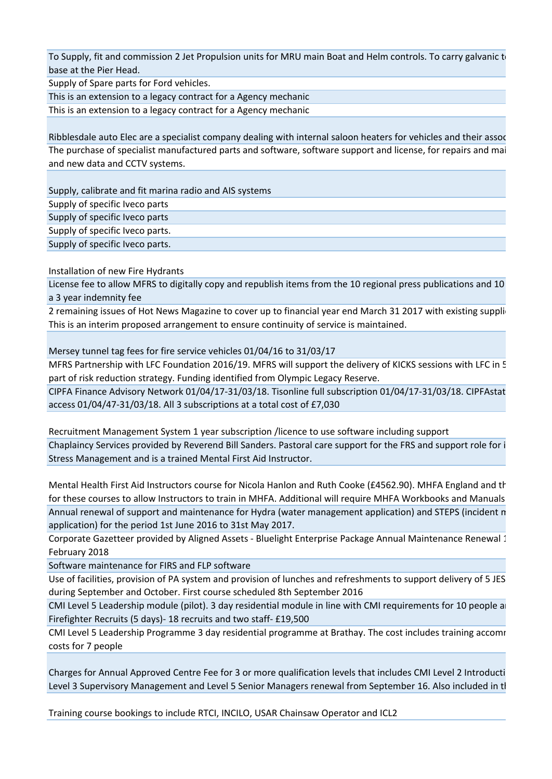To Supply, fit and commission 2 Jet Propulsion units for MRU main Boat and Helm controls. To carry galvanic to base at the Pier Head.

Supply of Spare parts for Ford vehicles.

This is an extension to a legacy contract for a Agency mechanic

This is an extension to a legacy contract for a Agency mechanic

Ribblesdale auto Elec are a specialist company dealing with internal saloon heaters for vehicles and their assoc The purchase of specialist manufactured parts and software, software support and license, for repairs and maintenance to exist in the purchase of specialist manufactured parts. and new data and CCTV systems.

Supply, calibrate and fit marina radio and AIS systems Supply of specific Iveco parts

Supply of specific Iveco parts

Supply of specific Iveco parts.

Supply of specific Iveco parts.

Installation of new Fire Hydrants

License fee to allow MFRS to digitally copy and republish items from the 10 regional press publications and 10 a 3 year indemnity fee

2 remaining issues of Hot News Magazine to cover up to financial year end March 31 2017 with existing supplig This is an interim proposed arrangement to ensure continuity of service is maintained.

Mersey tunnel tag fees for fire service vehicles 01/04/16 to 31/03/17

MFRS Partnership with LFC Foundation 2016/19. MFRS will support the delivery of KICKS sessions with LFC in 5 part of risk reduction strategy. Funding identified from Olympic Legacy Reserve.

CIPFA Finance Advisory Network 01/04/17-31/03/18. Tisonline full subscription 01/04/17-31/03/18. CIPFAstat access 01/04/47-31/03/18. All 3 subscriptions at a total cost of £7,030

Recruitment Management System 1 year subscription /licence to use software including support Chaplaincy Services provided by Reverend Bill Sanders. Pastoral care support for the FRS and support role for i Stress Management and is a trained Mental First Aid Instructor.

Mental Health First Aid Instructors course for Nicola Hanlon and Ruth Cooke (£4562.90). MHFA England and the for these courses to allow Instructors to train in MHFA. Additional will require MHFA Workbooks and Manuals Annual renewal of support and maintenance for Hydra (water management application) and STEPS (incident n application) for the period 1st June 2016 to 31st May 2017.

Corporate Gazetteer provided by Aligned Assets - Bluelight Enterprise Package Annual Maintenance Renewal 1 February 2018

Software maintenance for FIRS and FLP software

Use of facilities, provision of PA system and provision of lunches and refreshments to support delivery of 5 JES during September and October. First course scheduled 8th September 2016

CMI Level 5 Leadership module (pilot). 3 day residential module in line with CMI requirements for 10 people and Firefighter Recruits (5 days)- 18 recruits and two staff- £19,500

CMI Level 5 Leadership Programme 3 day residential programme at Brathay. The cost includes training accomrodation and meals and meals and meals and meals and meals and meals and meals and meals and meals and meals and meal costs for 7 people

Charges for Annual Approved Centre Fee for 3 or more qualification levels that includes CMI Level 2 Introducti Level 3 Supervisory Management and Level 5 Senior Managers renewal from September 16. Also included in tl

Training course bookings to include RTCI, INCILO, USAR Chainsaw Operator and ICL2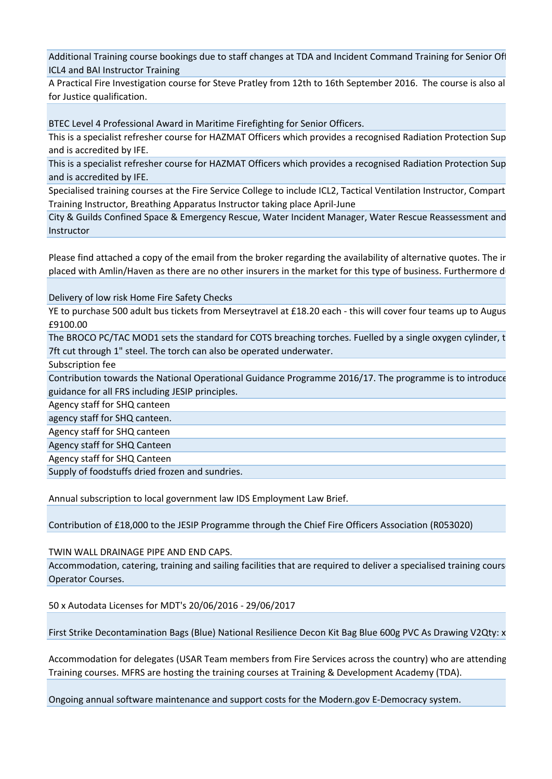Additional Training course bookings due to staff changes at TDA and Incident Command Training for Senior Officers ICL4 and BAI Instructor Training

A Practical Fire Investigation course for Steve Pratley from 12th to 16th September 2016. The course is also al for Justice qualification.

BTEC Level 4 Professional Award in Maritime Firefighting for Senior Officers.

This is a specialist refresher course for HAZMAT Officers which provides a recognised Radiation Protection Sup and is accredited by IFE.

This is a specialist refresher course for HAZMAT Officers which provides a recognised Radiation Protection Sup and is accredited by IFE.

Specialised training courses at the Fire Service College to include ICL2, Tactical Ventilation Instructor, Compart Training Instructor, Breathing Apparatus Instructor taking place April-June

City & Guilds Confined Space & Emergency Rescue, Water Incident Manager, Water Rescue Reassessment and Instructor

Please find attached a copy of the email from the broker regarding the availability of alternative quotes. The ir placed with Amlin/Haven as there are no other insurers in the market for this type of business. Furthermore d

Delivery of low risk Home Fire Safety Checks

YE to purchase 500 adult bus tickets from Merseytravel at £18.20 each - this will cover four teams up to Augus £9100.00

The BROCO PC/TAC MOD1 sets the standard for COTS breaching torches. Fuelled by a single oxygen cylinder, t 7ft cut through 1" steel. The torch can also be operated underwater.

Subscription fee

Contribution towards the National Operational Guidance Programme 2016/17. The programme is to introduce guidance for all FRS including JESIP principles.

Agency staff for SHQ canteen

agency staff for SHQ canteen.

Agency staff for SHQ canteen

Agency staff for SHQ Canteen

Agency staff for SHQ Canteen

Supply of foodstuffs dried frozen and sundries.

Annual subscription to local government law IDS Employment Law Brief.

Contribution of £18,000 to the JESIP Programme through the Chief Fire Officers Association (R053020)

TWIN WALL DRAINAGE PIPE AND END CAPS.

Accommodation, catering, training and sailing facilities that are required to deliver a specialised training cours Operator Courses.

50 x Autodata Licenses for MDT's 20/06/2016 - 29/06/2017

First Strike Decontamination Bags (Blue) National Resilience Decon Kit Bag Blue 600g PVC As Drawing V2Qty: x 15

Accommodation for delegates (USAR Team members from Fire Services across the country) who are attending Training courses. MFRS are hosting the training courses at Training & Development Academy (TDA).

Ongoing annual software maintenance and support costs for the Modern.gov E-Democracy system.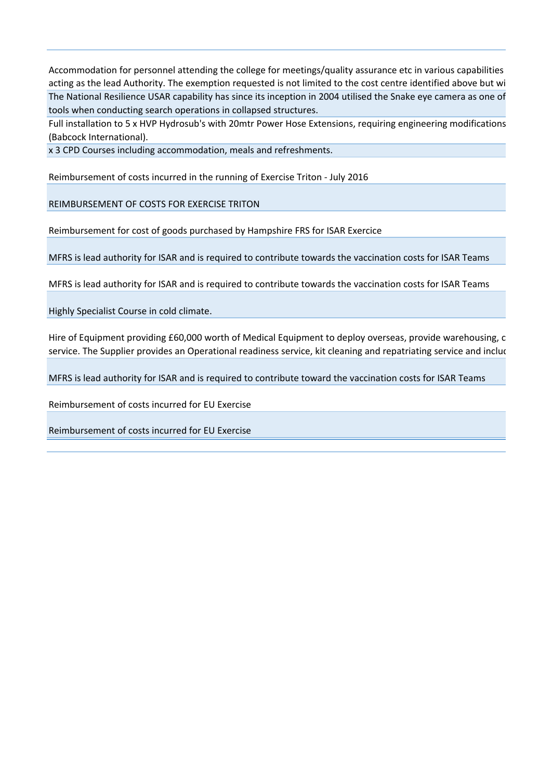Accommodation for personnel attending the college for meetings/quality assurance etc in various capabilities acting as the lead Authority. The exemption requested is not limited to the cost centre identified above but wi The National Resilience USAR capability has since its inception in 2004 utilised the Snake eye camera as one of tools when conducting search operations in collapsed structures.

Full installation to 5 x HVP Hydrosub's with 20mtr Power Hose Extensions, requiring engineering modifications (Babcock International).

x 3 CPD Courses including accommodation, meals and refreshments.

Reimbursement of costs incurred in the running of Exercise Triton - July 2016

REIMBURSEMENT OF COSTS FOR EXERCISE TRITON

Reimbursement for cost of goods purchased by Hampshire FRS for ISAR Exercice

MFRS is lead authority for ISAR and is required to contribute towards the vaccination costs for ISAR Teams

MFRS is lead authority for ISAR and is required to contribute towards the vaccination costs for ISAR Teams

Highly Specialist Course in cold climate.

Hire of Equipment providing £60,000 worth of Medical Equipment to deploy overseas, provide warehousing, c service. The Supplier provides an Operational readiness service, kit cleaning and repatriating service and includ

MFRS is lead authority for ISAR and is required to contribute toward the vaccination costs for ISAR Teams

Reimbursement of costs incurred for EU Exercise

Reimbursement of costs incurred for EU Exercise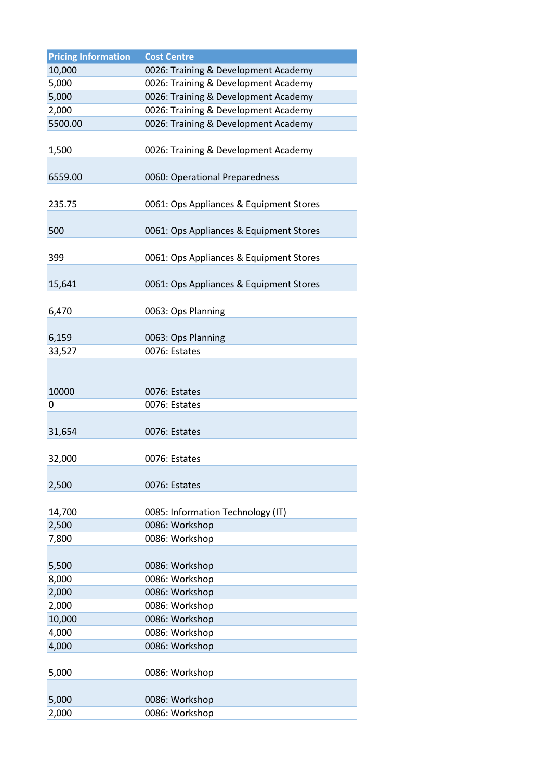| <b>Pricing Information</b> | <b>Cost Centre</b>                      |
|----------------------------|-----------------------------------------|
| 10,000                     | 0026: Training & Development Academy    |
| 5,000                      | 0026: Training & Development Academy    |
| 5,000                      | 0026: Training & Development Academy    |
| 2,000                      | 0026: Training & Development Academy    |
| 5500.00                    | 0026: Training & Development Academy    |
| 1,500                      | 0026: Training & Development Academy    |
| 6559.00                    | 0060: Operational Preparedness          |
| 235.75                     | 0061: Ops Appliances & Equipment Stores |
| 500                        | 0061: Ops Appliances & Equipment Stores |
| 399                        | 0061: Ops Appliances & Equipment Stores |
| 15,641                     | 0061: Ops Appliances & Equipment Stores |
| 6,470                      | 0063: Ops Planning                      |
| 6,159                      | 0063: Ops Planning                      |
| 33,527                     | 0076: Estates                           |
|                            |                                         |
| 10000                      | 0076: Estates                           |
| 0                          | 0076: Estates                           |
| 31,654                     | 0076: Estates                           |
| 32,000                     | 0076: Estates                           |
| 2,500                      | 0076: Estates                           |
| 14,700                     | 0085: Information Technology (IT)       |
| 2,500                      | 0086: Workshop                          |
| 7,800                      | 0086: Workshop                          |
|                            |                                         |
| 5,500                      | 0086: Workshop                          |
| 8,000                      | 0086: Workshop                          |
| 2,000                      | 0086: Workshop                          |
| 2,000                      | 0086: Workshop                          |
| 10,000                     | 0086: Workshop                          |
| 4,000                      | 0086: Workshop                          |
| 4,000                      | 0086: Workshop                          |
| 5,000                      | 0086: Workshop                          |
| 5,000                      | 0086: Workshop                          |
| 2,000                      | 0086: Workshop                          |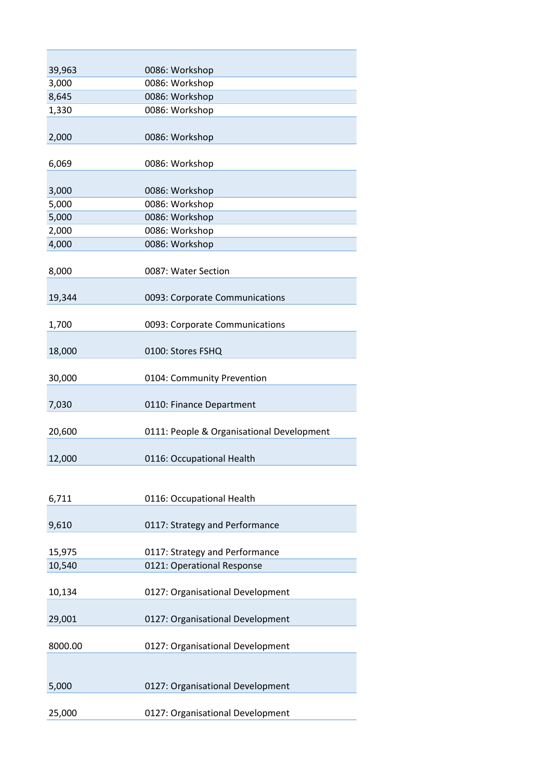| 39,963  | 0086: Workshop                            |
|---------|-------------------------------------------|
| 3,000   | 0086: Workshop                            |
| 8,645   | 0086: Workshop                            |
| 1,330   | 0086: Workshop                            |
|         |                                           |
| 2,000   | 0086: Workshop                            |
|         |                                           |
| 6,069   | 0086: Workshop                            |
| 3,000   | 0086: Workshop                            |
| 5,000   | 0086: Workshop                            |
| 5,000   | 0086: Workshop                            |
| 2,000   | 0086: Workshop                            |
| 4,000   | 0086: Workshop                            |
|         |                                           |
| 8,000   | 0087: Water Section                       |
|         |                                           |
| 19,344  | 0093: Corporate Communications            |
|         |                                           |
|         |                                           |
| 1,700   | 0093: Corporate Communications            |
| 18,000  | 0100: Stores FSHQ                         |
|         |                                           |
| 30,000  | 0104: Community Prevention                |
|         |                                           |
| 7,030   | 0110: Finance Department                  |
|         |                                           |
| 20,600  | 0111: People & Organisational Development |
|         |                                           |
| 12,000  | 0116: Occupational Health                 |
|         |                                           |
|         |                                           |
| 6,711   | 0116: Occupational Health                 |
|         |                                           |
| 9,610   | 0117: Strategy and Performance            |
|         |                                           |
| 15,975  | 0117: Strategy and Performance            |
| 10,540  | 0121: Operational Response                |
|         |                                           |
| 10,134  | 0127: Organisational Development          |
|         |                                           |
| 29,001  | 0127: Organisational Development          |
|         |                                           |
| 8000.00 | 0127: Organisational Development          |
|         |                                           |
|         |                                           |
| 5,000   | 0127: Organisational Development          |
|         |                                           |
| 25,000  | 0127: Organisational Development          |
|         |                                           |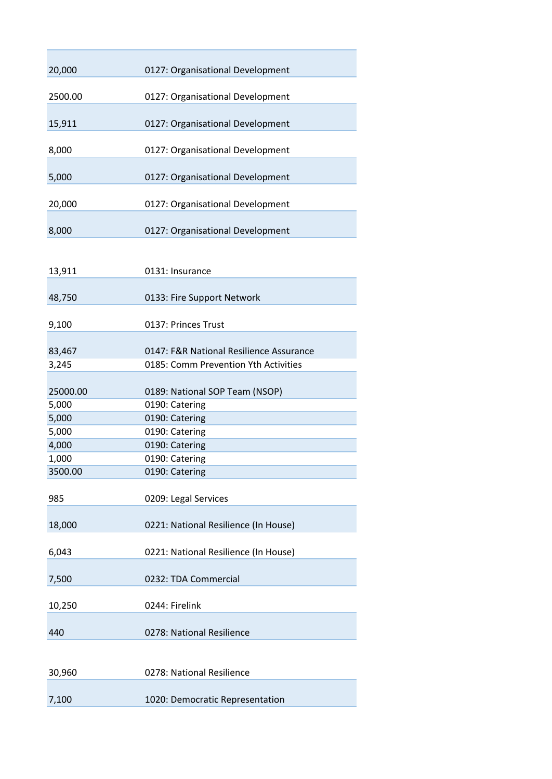| 20,000   | 0127: Organisational Development        |
|----------|-----------------------------------------|
| 2500.00  | 0127: Organisational Development        |
| 15,911   | 0127: Organisational Development        |
| 8,000    | 0127: Organisational Development        |
| 5,000    | 0127: Organisational Development        |
| 20,000   | 0127: Organisational Development        |
| 8,000    | 0127: Organisational Development        |
| 13,911   | 0131: Insurance                         |
| 48,750   | 0133: Fire Support Network              |
| 9,100    | 0137: Princes Trust                     |
| 83,467   | 0147: F&R National Resilience Assurance |
| 3,245    | 0185: Comm Prevention Yth Activities    |
| 25000.00 | 0189: National SOP Team (NSOP)          |
| 5,000    | 0190: Catering                          |
| 5,000    | 0190: Catering                          |
| 5,000    | 0190: Catering                          |
| 4,000    | 0190: Catering                          |
| 1,000    | 0190: Catering                          |
| 3500.00  | 0190: Catering                          |
| 985      | 0209: Legal Services                    |
| 18,000   | 0221: National Resilience (In House)    |
| 6,043    | 0221: National Resilience (In House)    |
| 7,500    | 0232: TDA Commercial                    |
| 10,250   | 0244: Firelink                          |
| 440      | 0278: National Resilience               |
|          |                                         |
| 30,960   | 0278: National Resilience               |
| 7,100    | 1020: Democratic Representation         |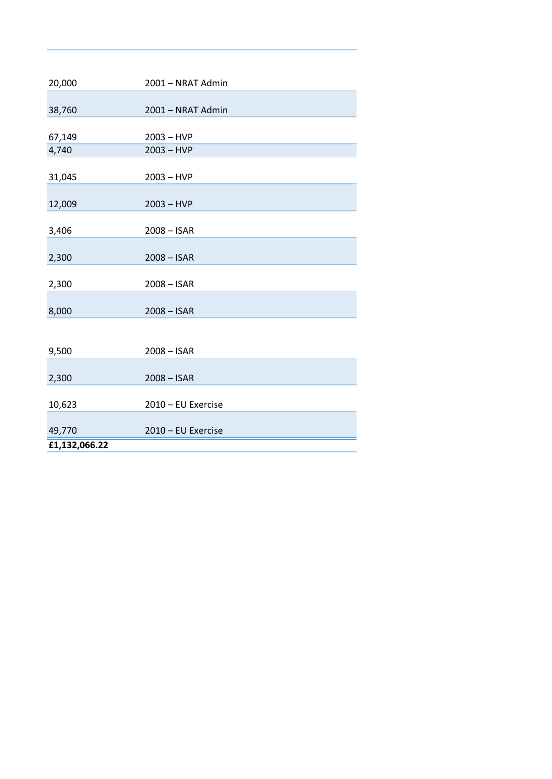| 20,000        | 2001 - NRAT Admin  |
|---------------|--------------------|
|               |                    |
| 38,760        | 2001 - NRAT Admin  |
|               |                    |
| 67,149        | $2003 - HVP$       |
| 4,740         | $2003 - HVP$       |
| 31,045        | $2003 - HVP$       |
|               |                    |
| 12,009        | $2003 - HVP$       |
| 3,406         | $2008 - ISAR$      |
|               |                    |
| 2,300         | $2008 - ISAR$      |
| 2,300         | $2008 - ISAR$      |
|               |                    |
| 8,000         | $2008 - ISAR$      |
|               |                    |
| 9,500         | $2008 - ISAR$      |
|               |                    |
| 2,300         | $2008 - ISAR$      |
| 10,623        | 2010 - EU Exercise |
|               |                    |
| 49,770        | 2010 - EU Exercise |
| £1,132,066.22 |                    |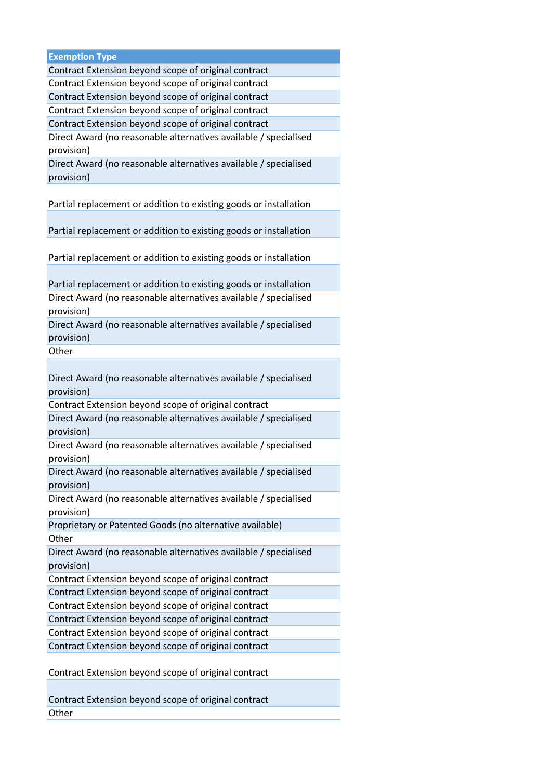| <b>Exemption Type</b>                                             |
|-------------------------------------------------------------------|
| Contract Extension beyond scope of original contract              |
| Contract Extension beyond scope of original contract              |
| Contract Extension beyond scope of original contract              |
| Contract Extension beyond scope of original contract              |
| Contract Extension beyond scope of original contract              |
| Direct Award (no reasonable alternatives available / specialised  |
| provision)                                                        |
| Direct Award (no reasonable alternatives available / specialised  |
| provision)                                                        |
|                                                                   |
| Partial replacement or addition to existing goods or installation |
|                                                                   |
| Partial replacement or addition to existing goods or installation |
|                                                                   |
| Partial replacement or addition to existing goods or installation |
|                                                                   |
|                                                                   |
| Partial replacement or addition to existing goods or installation |
| Direct Award (no reasonable alternatives available / specialised  |
| provision)                                                        |
| Direct Award (no reasonable alternatives available / specialised  |
| provision)                                                        |
| Other                                                             |
|                                                                   |
| Direct Award (no reasonable alternatives available / specialised  |
| provision)                                                        |
| Contract Extension beyond scope of original contract              |
| Direct Award (no reasonable alternatives available / specialised  |
| provision)                                                        |
| Direct Award (no reasonable alternatives available / specialised  |
| provision)                                                        |
| Direct Award (no reasonable alternatives available / specialised  |
| provision)                                                        |
| Direct Award (no reasonable alternatives available / specialised  |
| provision)                                                        |
| Proprietary or Patented Goods (no alternative available)          |
| Other                                                             |
| Direct Award (no reasonable alternatives available / specialised  |
| provision)                                                        |
| Contract Extension beyond scope of original contract              |
| Contract Extension beyond scope of original contract              |
| Contract Extension beyond scope of original contract              |
| Contract Extension beyond scope of original contract              |
| Contract Extension beyond scope of original contract              |
|                                                                   |
| Contract Extension beyond scope of original contract              |
|                                                                   |
| Contract Extension beyond scope of original contract              |
|                                                                   |
| Contract Extension beyond scope of original contract              |
| Other                                                             |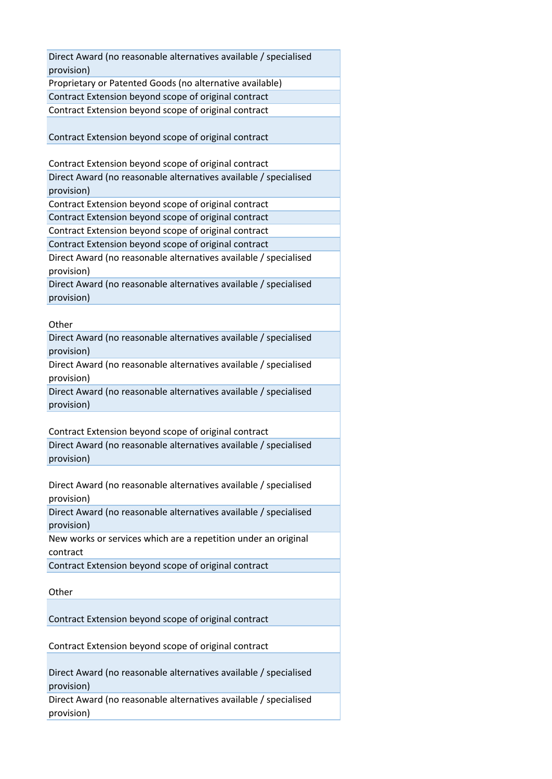| Direct Award (no reasonable alternatives available / specialised<br>provision) |
|--------------------------------------------------------------------------------|
| Proprietary or Patented Goods (no alternative available)                       |
|                                                                                |
| Contract Extension beyond scope of original contract                           |
| Contract Extension beyond scope of original contract                           |
|                                                                                |
| Contract Extension beyond scope of original contract                           |
|                                                                                |
| Contract Extension beyond scope of original contract                           |
| Direct Award (no reasonable alternatives available / specialised               |
| provision)                                                                     |
| Contract Extension beyond scope of original contract                           |
| Contract Extension beyond scope of original contract                           |
| Contract Extension beyond scope of original contract                           |
| Contract Extension beyond scope of original contract                           |
| Direct Award (no reasonable alternatives available / specialised               |
| provision)                                                                     |
| Direct Award (no reasonable alternatives available / specialised               |
| provision)                                                                     |
|                                                                                |
| Other                                                                          |
| Direct Award (no reasonable alternatives available / specialised               |
| provision)                                                                     |
| Direct Award (no reasonable alternatives available / specialised               |
| provision)                                                                     |
| Direct Award (no reasonable alternatives available / specialised               |
| provision)                                                                     |
|                                                                                |
| Contract Extension beyond scope of original contract                           |
| Direct Award (no reasonable alternatives available / specialised               |
| provision)                                                                     |
|                                                                                |
| Direct Award (no reasonable alternatives available / specialised               |
| provision)                                                                     |
| Direct Award (no reasonable alternatives available / specialised               |
| provision)                                                                     |
| New works or services which are a repetition under an original                 |
| contract                                                                       |
| Contract Extension beyond scope of original contract                           |
|                                                                                |
| Other                                                                          |
|                                                                                |
|                                                                                |
| Contract Extension beyond scope of original contract                           |
|                                                                                |
| Contract Extension beyond scope of original contract                           |
|                                                                                |
| Direct Award (no reasonable alternatives available / specialised               |
| provision)                                                                     |
| Direct Award (no reasonable alternatives available / specialised               |
| provision)                                                                     |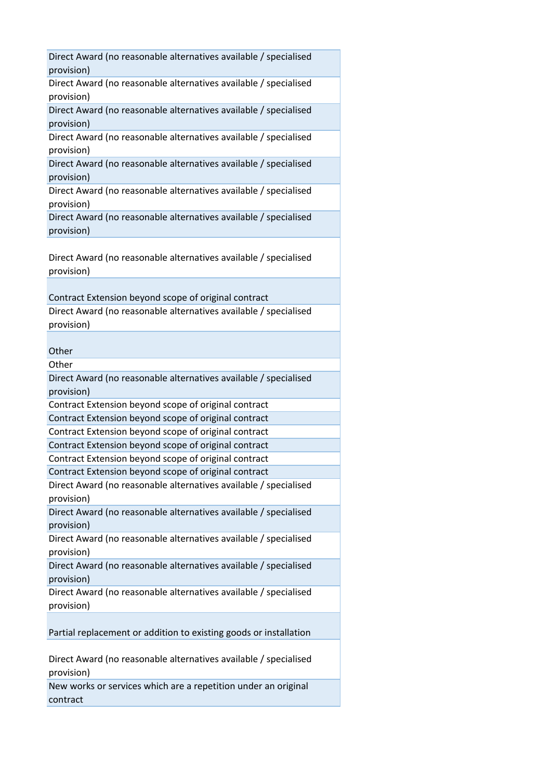| Direct Award (no reasonable alternatives available / specialised<br>provision) |
|--------------------------------------------------------------------------------|
| Direct Award (no reasonable alternatives available / specialised<br>provision) |
| Direct Award (no reasonable alternatives available / specialised<br>provision) |
| Direct Award (no reasonable alternatives available / specialised<br>provision) |
| Direct Award (no reasonable alternatives available / specialised<br>provision) |
| Direct Award (no reasonable alternatives available / specialised<br>provision) |
| Direct Award (no reasonable alternatives available / specialised<br>provision) |
| Direct Award (no reasonable alternatives available / specialised<br>provision) |
| Contract Extension beyond scope of original contract                           |
| Direct Award (no reasonable alternatives available / specialised<br>provision) |
|                                                                                |
| Other                                                                          |
| Other                                                                          |
| Direct Award (no reasonable alternatives available / specialised<br>provision) |
| Contract Extension beyond scope of original contract                           |
| Contract Extension beyond scope of original contract                           |
| Contract Extension beyond scope of original contract                           |
| Contract Extension beyond scope of original contract                           |
| Contract Extension beyond scope of original contract                           |
| Contract Extension beyond scope of original contract                           |
| Direct Award (no reasonable alternatives available / specialised<br>provision) |
| Direct Award (no reasonable alternatives available / specialised<br>provision) |
| Direct Award (no reasonable alternatives available / specialised<br>provision) |
| Direct Award (no reasonable alternatives available / specialised<br>provision) |
| Direct Award (no reasonable alternatives available / specialised<br>provision) |
| Partial replacement or addition to existing goods or installation              |
| Direct Award (no reasonable alternatives available / specialised<br>provision) |
| New works or services which are a repetition under an original<br>contract     |